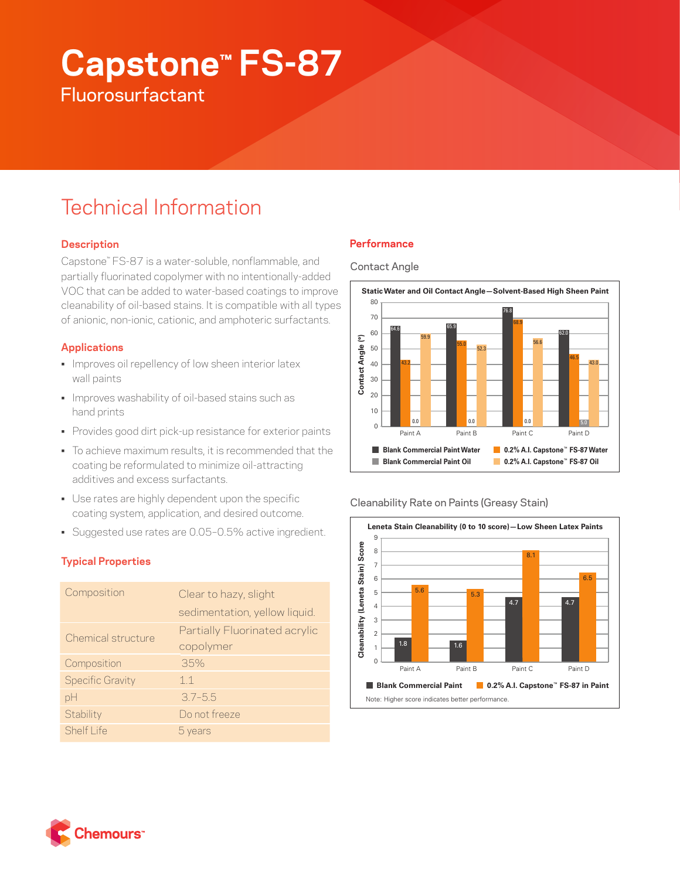# **Capstone™ FS-87 Fluorosurfactant**

# Technical Information

# **Description**

Capstone™ FS-87 is a water-soluble, nonflammable, and partially fluorinated copolymer with no intentionally-added VOC that can be added to water-based coatings to improve cleanability of oil-based stains. It is compatible with all types of anionic, non-ionic, cationic, and amphoteric surfactants.

# **Applications**

- Improves oil repellency of low sheen interior latex wall paints
- Improves washability of oil-based stains such as hand prints
- Provides good dirt pick-up resistance for exterior paints
- To achieve maximum results, it is recommended that the coating be reformulated to minimize oil-attracting additives and excess surfactants.
- Use rates are highly dependent upon the specific coating system, application, and desired outcome.
- Suggested use rates are 0.05–0.5% active ingredient.

# **Typical Properties**

| Composition             | Clear to hazy, slight<br>sedimentation, yellow liquid. |
|-------------------------|--------------------------------------------------------|
| Chemical structure      | Partially Fluorinated acrylic<br>copolymer             |
| Composition             | 35%                                                    |
| <b>Specific Gravity</b> | 11                                                     |
| рH                      | $3.7 - 5.5$                                            |
| Stability               | Do not freeze                                          |
| Shelf Life              | 5 years                                                |

# **Performance**

#### Contact Angle



## Cleanability Rate on Paints (Greasy Stain)